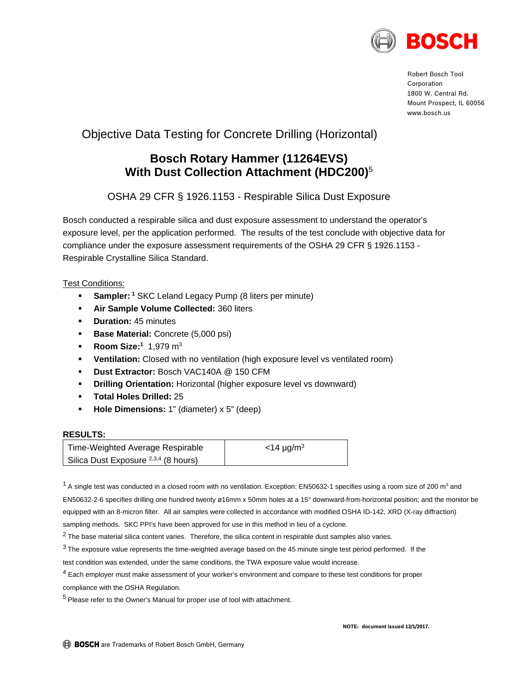

Robert Bosch Tool Corporation 1800 W. Central Rd. Mount Prospect, IL 60056 www.bosch.us

# Objective Data Testing for Concrete Drilling (Horizontal)

## **Bosch Rotary Hammer (11264EVS) With Dust Collection Attachment (HDC200)**<sup>5</sup>

OSHA 29 CFR § 1926.1153 - Respirable Silica Dust Exposure

Bosch conducted a respirable silica and dust exposure assessment to understand the operator's exposure level, per the application performed. The results of the test conclude with objective data for compliance under the exposure assessment requirements of the OSHA 29 CFR § 1926.1153 - Respirable Crystalline Silica Standard.

### Test Conditions:

- **Sampler:** <sup>1</sup> SKC Leland Legacy Pump (8 liters per minute)
- **Air Sample Volume Collected:** 360 liters
- **•** Duration: 45 minutes
- **Base Material: Concrete (5,000 psi)**
- **Room Size:**<sup>1</sup> 1,979 m<sup>3</sup>
- **Ventilation:** Closed with no ventilation (high exposure level vs ventilated room)
- **Dust Extractor:** Bosch VAC140A @ 150 CFM
- **Drilling Orientation:** Horizontal (higher exposure level vs downward)
- **Total Holes Drilled:** 25
- **Hole Dimensions:** 1" (diameter) x 5" (deep)

#### **RESULTS:**

| Time-Weighted Average Respirable                | $<$ 14 µg/m <sup>3</sup> |
|-------------------------------------------------|--------------------------|
| Silica Dust Exposure <sup>2,3,4</sup> (8 hours) |                          |

 $1$  A single test was conducted in a closed room with no ventilation. Exception: EN50632-1 specifies using a room size of 200 m<sup>3</sup> and EN50632-2-6 specifies drilling one hundred twenty ø16mm x 50mm holes at a 15° downward-from-horizontal position; and the monitor be equipped with an 8-micron filter. All air samples were collected in accordance with modified OSHA ID-142, XRD (X-ray diffraction) sampling methods. SKC PPI's have been approved for use in this method in lieu of a cyclone.

 $2$  The base material silica content varies. Therefore, the silica content in respirable dust samples also varies.

 $3$  The exposure value represents the time-weighted average based on the 45 minute single test period performed. If the

test condition was extended, under the same conditions, the TWA exposure value would increase.

<sup>4</sup> Each employer must make assessment of your worker's environment and compare to these test conditions for proper compliance with the OSHA Regulation.

<sup>5</sup> Please refer to the Owner's Manual for proper use of tool with attachment.